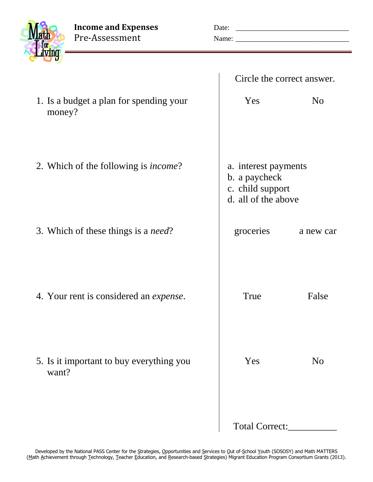**Income and Expenses** Date Pre-Assessment Name

| ∷  |  |
|----|--|
|    |  |
| e: |  |

|  | Circle the correct answer. |
|--|----------------------------|
|  |                            |

| 1. Is a budget a plan for spending your<br>money? | Yes                                                                              | N <sub>o</sub> |
|---------------------------------------------------|----------------------------------------------------------------------------------|----------------|
| 2. Which of the following is <i>income</i> ?      | a. interest payments<br>b. a paycheck<br>c. child support<br>d. all of the above |                |
| 3. Which of these things is a <i>need</i> ?       | groceries                                                                        | a new car      |
| 4. Your rent is considered an <i>expense</i> .    | True                                                                             | False          |
| 5. Is it important to buy everything you<br>want? | Yes                                                                              | N <sub>o</sub> |
|                                                   | Total Correct:                                                                   |                |